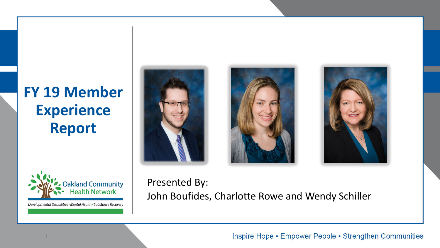## **FY 19 Member Experience Report**



Developmental Disabilities · Mental Health · Substance Recovery







#### Presented By: John Boufides, Charlotte Rowe and Wendy Schiller

Inspire Hope • Empower People • Strengthen Communities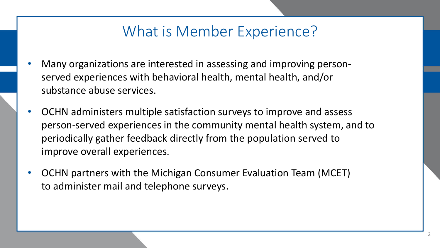#### What is Member Experience?

- Many organizations are interested in assessing and improving personserved experiences with behavioral health, mental health, and/or substance abuse services.
- OCHN administers multiple satisfaction surveys to improve and assess person-served experiences in the community mental health system, and to periodically gather feedback directly from the population served to improve overall experiences.
- OCHN partners with the Michigan Consumer Evaluation Team (MCET) to administer mail and telephone surveys.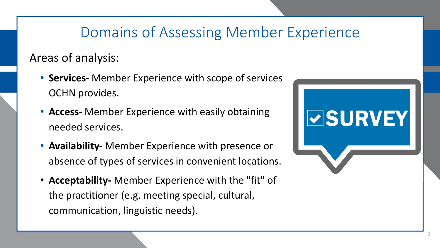#### Domains of Assessing Member Experience

#### Areas of analysis:

- **Services-** Member Experience with scope of services OCHN provides.
- **Access** Member Experience with easily obtaining needed services.
- **Availability-** Member Experience with presence or absence of types of services in convenient locations.
- **Acceptability-** Member Experience with the "fit" of the practitioner (e.g. meeting special, cultural, communication, linguistic needs).



**ØSURVEY**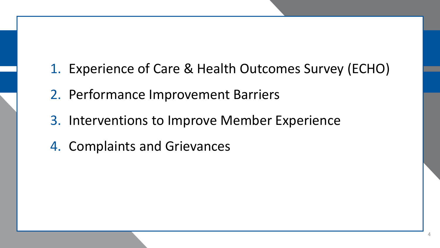- 1. Experience of Care & Health Outcomes Survey (ECHO)
- 2. Performance Improvement Barriers
- 3. Interventions to Improve Member Experience
- 4. Complaints and Grievances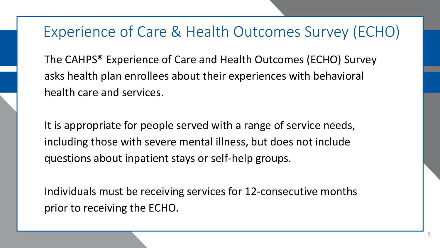The CAHPS® Experience of Care and Health Outcomes (ECHO) Survey asks health plan enrollees about their experiences with behavioral health care and services.

It is appropriate for people served with a range of service needs, including those with severe mental illness, but does not include questions about inpatient stays or self-help groups.

Individuals must be receiving services for 12-consecutive months prior to receiving the ECHO.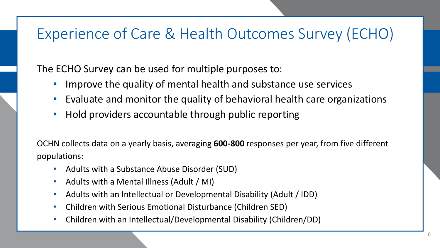The ECHO Survey can be used for multiple purposes to:

- Improve the quality of mental health and substance use services
- Evaluate and monitor the quality of behavioral health care organizations
- Hold providers accountable through public reporting

OCHN collects data on a yearly basis, averaging **600-800** responses per year, from five different populations:

- Adults with a Substance Abuse Disorder (SUD)
- Adults with a Mental Illness (Adult / MI)
- Adults with an Intellectual or Developmental Disability (Adult / IDD)
- Children with Serious Emotional Disturbance (Children SED)
- Children with an Intellectual/Developmental Disability (Children/DD)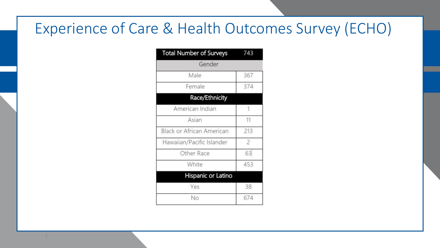| <b>Total Number of Surveys</b>   | 743            |
|----------------------------------|----------------|
| Gender                           |                |
| Male                             | 367            |
| Female                           | 374            |
| Race/Ethnicity                   |                |
| American Indian                  | 1              |
| Asian                            | 11             |
| <b>Black or African American</b> | 213            |
| Hawaiian/Pacific Islander        | $\overline{c}$ |
| Other Race                       | 63             |
| White                            | 453            |
| Hispanic or Latino               |                |
| Yes                              | 38             |
| No                               | 674            |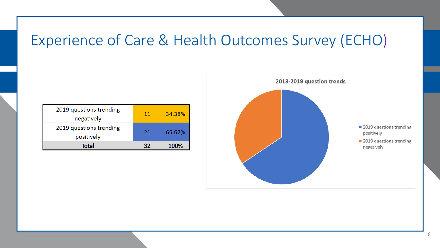| 2019 questions trending<br>negatively | 11 | 34.38% |
|---------------------------------------|----|--------|
| 2019 questions trending<br>positively | 21 | 65.62% |
| Total                                 |    | 1በበ%   |

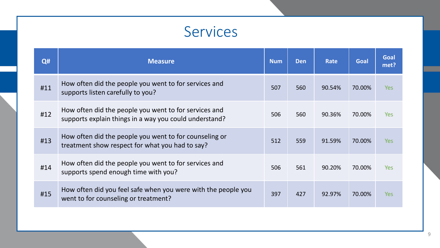#### Services

| Q#  | <b>Measure</b>                                                                                                  | <b>Num</b> | <b>Den</b> | Rate   | Goal   | <b>Goal</b><br>met? |
|-----|-----------------------------------------------------------------------------------------------------------------|------------|------------|--------|--------|---------------------|
| #11 | How often did the people you went to for services and<br>supports listen carefully to you?                      | 507        | 560        | 90.54% | 70.00% | <b>Yes</b>          |
| #12 | How often did the people you went to for services and<br>supports explain things in a way you could understand? | 506        | 560        | 90.36% | 70.00% | <b>Yes</b>          |
| #13 | How often did the people you went to for counseling or<br>treatment show respect for what you had to say?       | 512        | 559        | 91.59% | 70.00% | <b>Yes</b>          |
| #14 | How often did the people you went to for services and<br>supports spend enough time with you?                   | 506        | 561        | 90.20% | 70.00% | <b>Yes</b>          |
| #15 | How often did you feel safe when you were with the people you<br>went to for counseling or treatment?           | 397        | 427        | 92.97% | 70.00% | <b>Yes</b>          |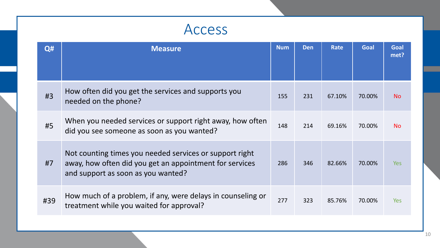#### Access

| Q#  | <b>Measure</b>                                                                                                                                           | <b>Num</b> | <b>Den</b> | <b>Rate</b> | <b>Goal</b> | Goal<br>met? |
|-----|----------------------------------------------------------------------------------------------------------------------------------------------------------|------------|------------|-------------|-------------|--------------|
| #3  | How often did you get the services and supports you<br>needed on the phone?                                                                              | 155        | 231        | 67.10%      | 70.00%      | <b>No</b>    |
| #5  | When you needed services or support right away, how often<br>did you see someone as soon as you wanted?                                                  | 148        | 214        | 69.16%      | 70.00%      | <b>No</b>    |
| #7  | Not counting times you needed services or support right<br>away, how often did you get an appointment for services<br>and support as soon as you wanted? | 286        | 346        | 82.66%      | 70.00%      | <b>Yes</b>   |
| #39 | How much of a problem, if any, were delays in counseling or<br>treatment while you waited for approval?                                                  | 277        | 323        | 85.76%      | 70.00%      | Yes          |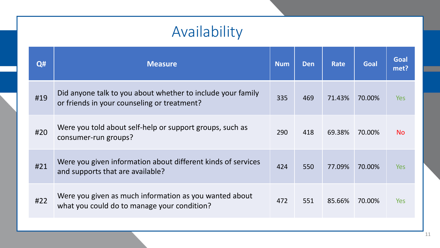## Availability

| Q#  | <b>Measure</b>                                                                                             | <b>Num</b> | <b>Den</b> | Rate   | <b>Goal</b> | Goal<br>met? |
|-----|------------------------------------------------------------------------------------------------------------|------------|------------|--------|-------------|--------------|
| #19 | Did anyone talk to you about whether to include your family<br>or friends in your counseling or treatment? | 335        | 469        | 71.43% | 70.00%      | <b>Yes</b>   |
| #20 | Were you told about self-help or support groups, such as<br>consumer-run groups?                           | 290        | 418        | 69.38% | 70.00%      | <b>No</b>    |
| #21 | Were you given information about different kinds of services<br>and supports that are available?           | 424        | 550        | 77.09% | 70.00%      | <b>Yes</b>   |
| #22 | Were you given as much information as you wanted about<br>what you could do to manage your condition?      | 472        | 551        | 85.66% | 70.00%      | <b>Yes</b>   |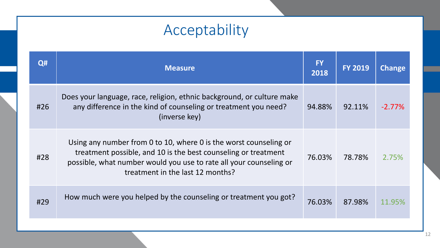# Acceptability

| Q#  | <b>Measure</b>                                                                                                                                                                                                                                | <b>FY</b><br>2018 | <b>FY 2019</b> | <b>Change</b> |
|-----|-----------------------------------------------------------------------------------------------------------------------------------------------------------------------------------------------------------------------------------------------|-------------------|----------------|---------------|
| #26 | Does your language, race, religion, ethnic background, or culture make<br>any difference in the kind of counseling or treatment you need?<br>(inverse key)                                                                                    | 94.88%            | 92.11%         | $-2.77\%$     |
| #28 | Using any number from 0 to 10, where 0 is the worst counseling or<br>treatment possible, and 10 is the best counseling or treatment<br>possible, what number would you use to rate all your counseling or<br>treatment in the last 12 months? | 76.03%            | 78.78%         | 2.75%         |
| #29 | How much were you helped by the counseling or treatment you got?                                                                                                                                                                              | 76.03%            | 87.98%         | 11.95%        |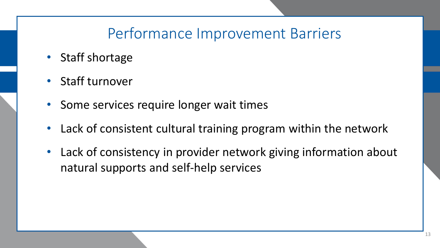#### Performance Improvement Barriers

- Staff shortage
- Staff turnover
- Some services require longer wait times
- Lack of consistent cultural training program within the network
- Lack of consistency in provider network giving information about natural supports and self-help services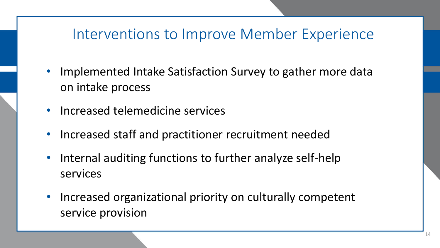#### Interventions to Improve Member Experience

- Implemented Intake Satisfaction Survey to gather more data on intake process
- Increased telemedicine services
- Increased staff and practitioner recruitment needed
- Internal auditing functions to further analyze self-help services
- Increased organizational priority on culturally competent service provision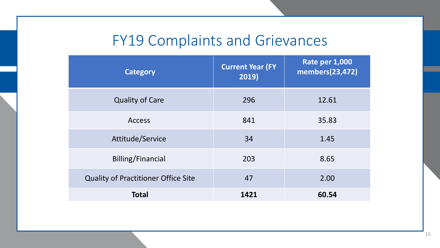## FY19 Complaints and Grievances

| <b>Category</b>                            | <b>Current Year (FY)</b><br>2019) | Rate per 1,000<br>members(23,472) |
|--------------------------------------------|-----------------------------------|-----------------------------------|
| <b>Quality of Care</b>                     | 296                               | 12.61                             |
| <b>Access</b>                              | 841                               | 35.83                             |
| Attitude/Service                           | 34                                | 1.45                              |
| Billing/Financial                          | 203                               | 8.65                              |
| <b>Quality of Practitioner Office Site</b> | 47                                | 2.00                              |
| <b>Total</b>                               | 1421                              | 60.54                             |